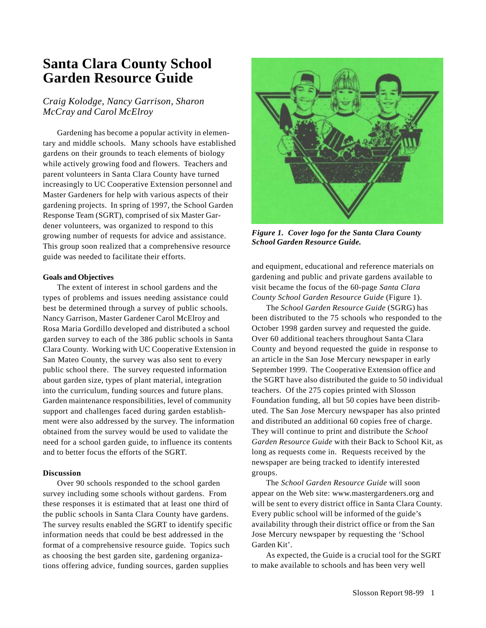## **Santa Clara County School Garden Resource Guide**

## *Craig Kolodge, Nancy Garrison, Sharon McCray and Carol McElroy*

Gardening has become a popular activity in elementary and middle schools. Many schools have established gardens on their grounds to teach elements of biology while actively growing food and flowers. Teachers and parent volunteers in Santa Clara County have turned increasingly to UC Cooperative Extension personnel and Master Gardeners for help with various aspects of their gardening projects. In spring of 1997, the School Garden Response Team (SGRT), comprised of six Master Gardener volunteers, was organized to respond to this growing number of requests for advice and assistance. This group soon realized that a comprehensive resource guide was needed to facilitate their efforts.

## **Goals and Objectives**

The extent of interest in school gardens and the types of problems and issues needing assistance could best be determined through a survey of public schools. Nancy Garrison, Master Gardener Carol McElroy and Rosa Maria Gordillo developed and distributed a school garden survey to each of the 386 public schools in Santa Clara County. Working with UC Cooperative Extension in San Mateo County, the survey was also sent to every public school there. The survey requested information about garden size, types of plant material, integration into the curriculum, funding sources and future plans. Garden maintenance responsibilities, level of community support and challenges faced during garden establishment were also addressed by the survey. The information obtained from the survey would be used to validate the need for a school garden guide, to influence its contents and to better focus the efforts of the SGRT.

## **Discussion**

Over 90 schools responded to the school garden survey including some schools without gardens. From these responses it is estimated that at least one third of the public schools in Santa Clara County have gardens. The survey results enabled the SGRT to identify specific information needs that could be best addressed in the format of a comprehensive resource guide. Topics such as choosing the best garden site, gardening organizations offering advice, funding sources, garden supplies



*Figure 1. Cover logo for the Santa Clara County School Garden Resource Guide.*

and equipment, educational and reference materials on gardening and public and private gardens available to visit became the focus of the 60-page *Santa Clara County School Garden Resource Guide* (Figure 1).

The *School Garden Resource Guide* (SGRG) has been distributed to the 75 schools who responded to the October 1998 garden survey and requested the guide. Over 60 additional teachers throughout Santa Clara County and beyond requested the guide in response to an article in the San Jose Mercury newspaper in early September 1999. The Cooperative Extension office and the SGRT have also distributed the guide to 50 individual teachers. Of the 275 copies printed with Slosson Foundation funding, all but 50 copies have been distributed. The San Jose Mercury newspaper has also printed and distributed an additional 60 copies free of charge. They will continue to print and distribute the *School Garden Resource Guide* with their Back to School Kit, as long as requests come in. Requests received by the newspaper are being tracked to identify interested groups.

The *School Garden Resource Guide* will soon appear on the Web site: www.mastergardeners.org and will be sent to every district office in Santa Clara County. Every public school will be informed of the guide's availability through their district office or from the San Jose Mercury newspaper by requesting the 'School Garden Kit'.

As expected, the Guide is a crucial tool for the SGRT to make available to schools and has been very well